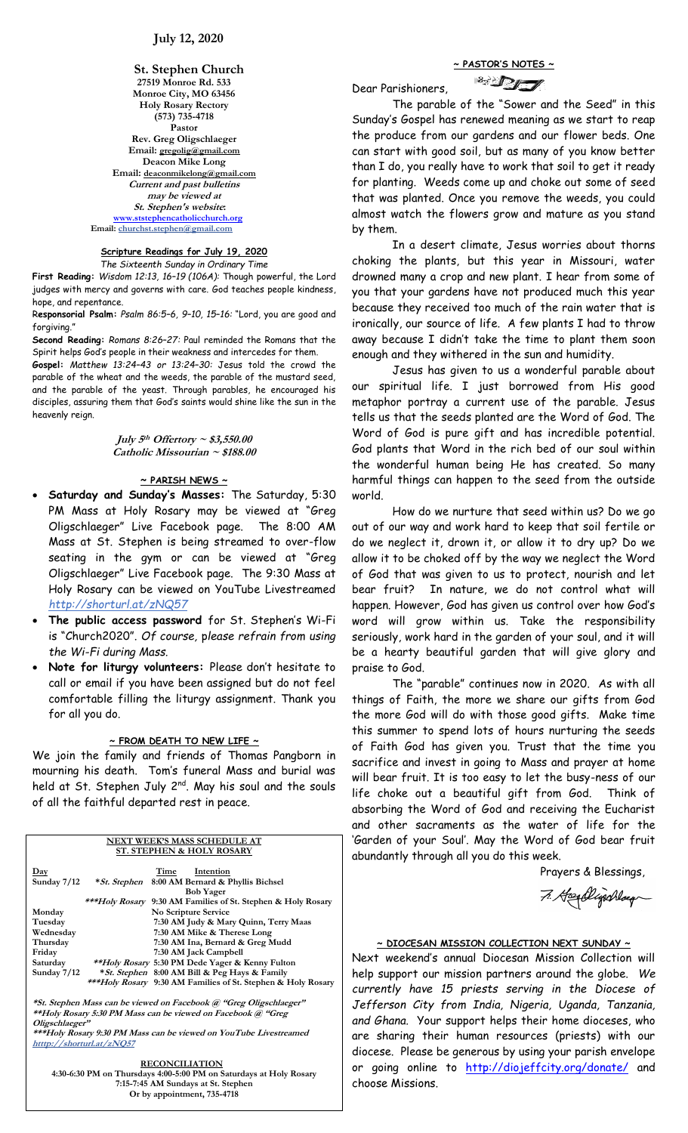**St. Stephen Church 27519 Monroe Rd. 533 Monroe City, MO 63456 Holy Rosary Rectory (573) 735-4718 Pastor Rev. Greg Oligschlaeger Email: gregolig@gmail.com Deacon Mike Long Email: deaconmikelong@gmail.com Current and past bulletins may be viewed at St. Stephen's website: [www.ststephencatholicchurch.org](http://www.ststephencatholicchurch.org/) Email: [churchst.stephen@gmail.com](mailto:churchst.stephen@gmail.com)**

**Scripture Readings for July 19, 2020** *The Sixteenth Sunday in Ordinary Time*

**First Reading:** *Wisdom 12:13, 16–19 (106A):* Though powerful, the Lord judges with mercy and governs with care. God teaches people kindness, hope, and repentance.

R**esponsorial Psalm:** *Psalm 86:5–6, 9–10, 15–16:* "Lord, you are good and forgiving."

**Second Reading:** *Romans 8:26–27:* Paul reminded the Romans that the Spirit helps God's people in their weakness and intercedes for them. **Gospel:** *Matthew 13:24–43 or 13:24–30:* Jesus told the crowd the parable of the wheat and the weeds, the parable of the mustard seed,

and the parable of the yeast. Through parables, he encouraged his disciples, assuring them that God's saints would shine like the sun in the heavenly reign.

> **July 5 th Offertory ~ \$3,550.00 Catholic Missourian ~ \$188.00**

# **~ PARISH NEWS ~**

- **Saturday and Sunday's Masses:** The Saturday, 5:30 PM Mass at Holy Rosary may be viewed at "Greg Oligschlaeger" Live Facebook page. The 8:00 AM Mass at St. Stephen is being streamed to over-flow seating in the gym or can be viewed at "Greg Oligschlaeger" Live Facebook page. The 9:30 Mass at Holy Rosary can be viewed on YouTube Livestreamed *http://shorturl.at/zNQ57*
- **The public access password** for St. Stephen's Wi-Fi is "Church2020". *Of course,* p*lease refrain from using the Wi-Fi during Mass.*
- **Note for liturgy volunteers:** Please don't hesitate to call or email if you have been assigned but do not feel comfortable filling the liturgy assignment. Thank you for all you do.

## **~ FROM DEATH TO NEW LIFE ~**

We join the family and friends of Thomas Pangborn in mourning his death. Tom's funeral Mass and burial was held at St. Stephen July 2<sup>nd</sup>. May his soul and the souls of all the faithful departed rest in peace.

## **NEXT WEEK'S MASS SCHEDULE AT ST. STEPHEN & HOLY ROSARY Day Time Intention Sunday 7/12 \*St. Stephen 8:00 AM Bernard & Phyllis Bichsel Bob Yager \*\*\*Holy Rosary 9:30 AM Families of St. Stephen & Holy Rosary**

| Monday        | No Scripture Service                                                 |
|---------------|----------------------------------------------------------------------|
| Tuesday       | 7:30 AM Judy & Mary Quinn, Terry Maas                                |
| Wednesdav     | 7:30 AM Mike & Therese Long                                          |
| Thursday      | 7:30 AM Ina, Bernard & Greg Mudd                                     |
| Friday        | 7:30 AM Jack Campbell                                                |
| Saturday      | **Holy Rosary 5:30 PM Dede Yager & Kenny Fulton                      |
| Sunday $7/12$ | <i>* St. Stephen</i> 8:00 AM Bill & Peg Hays & Family                |
|               | *** <i>Holy Rosary</i> 9:30 AM Families of St. Stephen & Holy Rosary |
|               |                                                                      |

**\*St. Stephen Mass can be viewed on Facebook @ "Greg Oligschlaeger" \*\*Holy Rosary 5:30 PM Mass can be viewed on Facebook @ "Greg Oligschlaeger"**

**\*\*\*Holy Rosary 9:30 PM Mass can be viewed on YouTube Livestreamed htttp://shorturl.at/zNQ57** 

#### **RECONCILIATION**

**4:30-6:30 PM on Thursdays 4:00-5:00 PM on Saturdays at Holy Rosary 7:15-7:45 AM Sundays at St. Stephen Or by appointment, 735-4718**

**~ PASTOR'S NOTES ~**

**SIDE** Dear Parishioners,

The parable of the "Sower and the Seed" in this Sunday's Gospel has renewed meaning as we start to reap the produce from our gardens and our flower beds. One can start with good soil, but as many of you know better than I do, you really have to work that soil to get it ready for planting. Weeds come up and choke out some of seed that was planted. Once you remove the weeds, you could almost watch the flowers grow and mature as you stand by them.

In a desert climate, Jesus worries about thorns choking the plants, but this year in Missouri, water drowned many a crop and new plant. I hear from some of you that your gardens have not produced much this year because they received too much of the rain water that is ironically, our source of life. A few plants I had to throw away because I didn't take the time to plant them soon enough and they withered in the sun and humidity.

Jesus has given to us a wonderful parable about our spiritual life. I just borrowed from His good metaphor portray a current use of the parable. Jesus tells us that the seeds planted are the Word of God. The Word of God is pure gift and has incredible potential. God plants that Word in the rich bed of our soul within the wonderful human being He has created. So many harmful things can happen to the seed from the outside world.

How do we nurture that seed within us? Do we go out of our way and work hard to keep that soil fertile or do we neglect it, drown it, or allow it to dry up? Do we allow it to be choked off by the way we neglect the Word of God that was given to us to protect, nourish and let bear fruit? In nature, we do not control what will happen. However, God has given us control over how God's word will grow within us. Take the responsibility seriously, work hard in the garden of your soul, and it will be a hearty beautiful garden that will give glory and praise to God.

The "parable" continues now in 2020. As with all things of Faith, the more we share our gifts from God the more God will do with those good gifts. Make time this summer to spend lots of hours nurturing the seeds of Faith God has given you. Trust that the time you sacrifice and invest in going to Mass and prayer at home will bear fruit. It is too easy to let the busy-ness of our life choke out a beautiful gift from God. Think of absorbing the Word of God and receiving the Eucharist and other sacraments as the water of life for the 'Garden of your Soul'. May the Word of God bear fruit abundantly through all you do this week.

Prayers & Blessings,

7. Headlightage

## **~ DIOCESAN MISSION COLLECTION NEXT SUNDAY ~**

Next weekend's annual Diocesan Mission Collection will help support our mission partners around the globe. *We currently have 15 priests serving in the Diocese of Jefferson City from India, Nigeria, Uganda, Tanzania, and Ghana.* Your support helps their home dioceses, who are sharing their human resources (priests) with our diocese. Please be generous by using your parish envelope or going online to <http://diojeffcity.org/donate/> and choose Missions.